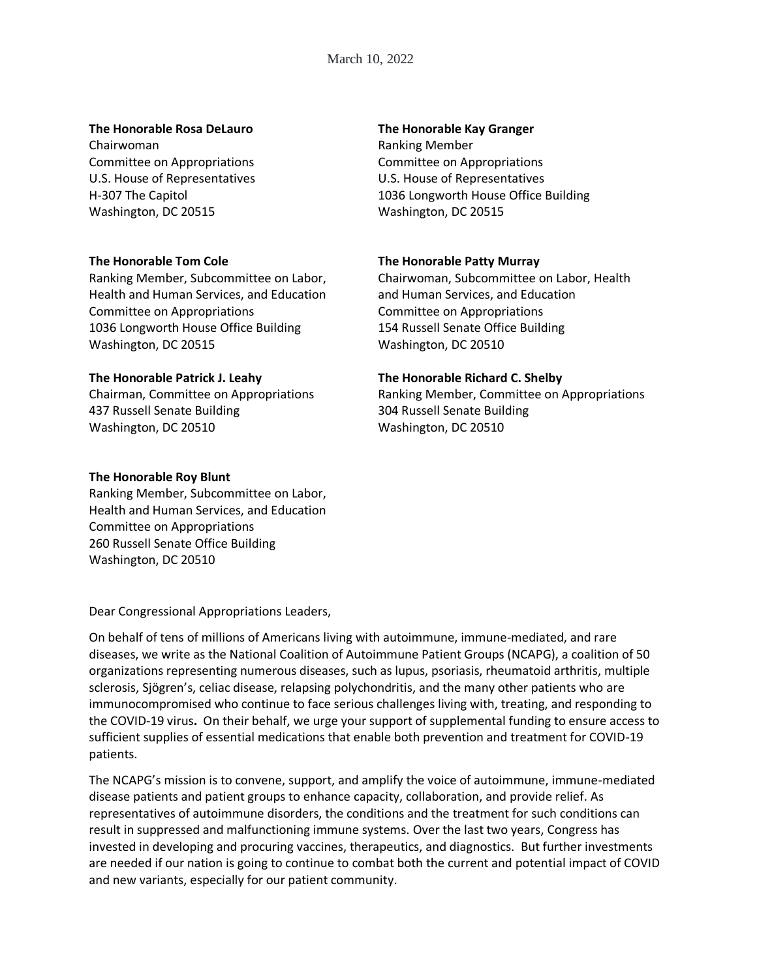March 10, 2022

#### **The Honorable Rosa DeLauro**

Chairwoman Committee on Appropriations U.S. House of Representatives H-307 The Capitol Washington, DC 20515

## **The Honorable Tom Cole**

Ranking Member, Subcommittee on Labor, Health and Human Services, and Education Committee on Appropriations 1036 Longworth House Office Building Washington, DC 20515

## **The Honorable Patrick J. Leahy**

Chairman, Committee on Appropriations 437 Russell Senate Building Washington, DC 20510

## **The Honorable Roy Blunt**

Ranking Member, Subcommittee on Labor, Health and Human Services, and Education Committee on Appropriations 260 Russell Senate Office Building Washington, DC 20510

Dear Congressional Appropriations Leaders,

On behalf of tens of millions of Americans living with autoimmune, immune-mediated, and rare diseases, we write as the National Coalition of Autoimmune Patient Groups (NCAPG), a coalition of 50 organizations representing numerous diseases, such as lupus, psoriasis, rheumatoid arthritis, multiple sclerosis, Sjögren's, celiac disease, relapsing polychondritis, and the many other patients who are immunocompromised who continue to face serious challenges living with, treating, and responding to the COVID-19 virus**.** On their behalf, we urge your support of supplemental funding to ensure access to sufficient supplies of essential medications that enable both prevention and treatment for COVID-19 patients.

The NCAPG's mission is to convene, support, and amplify the voice of autoimmune, immune-mediated disease patients and patient groups to enhance capacity, collaboration, and provide relief. As representatives of autoimmune disorders, the conditions and the treatment for such conditions can result in suppressed and malfunctioning immune systems. Over the last two years, Congress has invested in developing and procuring vaccines, therapeutics, and diagnostics. But further investments are needed if our nation is going to continue to combat both the current and potential impact of COVID and new variants, especially for our patient community.

#### **The Honorable Kay Granger**

Ranking Member Committee on Appropriations U.S. House of Representatives 1036 Longworth House Office Building Washington, DC 20515

# **The Honorable Patty Murray**

Chairwoman, Subcommittee on Labor, Health and Human Services, and Education Committee on Appropriations 154 Russell Senate Office Building Washington, DC 20510

## **The Honorable Richard C. Shelby**

Ranking Member, Committee on Appropriations 304 Russell Senate Building Washington, DC 20510